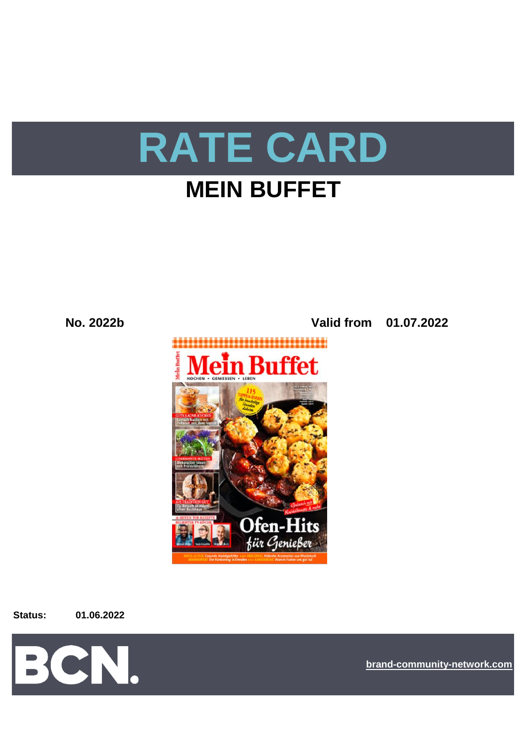

# **MEIN BUFFET**

**Ofen-Hits** für Genießer







**[bra](https://bcn.burda.com/)nd-community-network.com**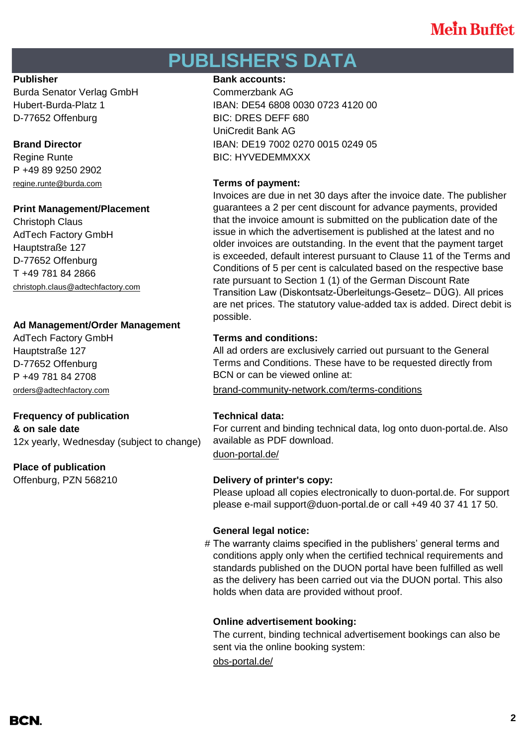# **PUBLISHER'S DATA**

Burda Senator Verlag GmbH Commerzbank AG D-77652 Offenburg BIC: DRES DEFF 680

P +49 89 9250 2902 [regine.runte@burda.com](mailto:regine.runte@burda.com) **Terms of payment:**

## **Print Management/Placement**

Christoph Claus AdTech Factory GmbH Hauptstraße 127 D-77652 Offenburg T +49 781 84 2866 [christoph.claus@adtechfactory.com](mailto:christoph.claus@adtechfactory.com)

# **Ad Management/Order Management**

Hauptstraße 127 D-77652 Offenburg P +49 781 84 2708

# **Frequency of publication Technical data:**

**& on sale date** 12x yearly, Wednesday (subject to change)

# **Place of publication**

## **Publisher Bank accounts: Bank accounts:**

Hubert-Burda-Platz 1 IBAN: DE54 6808 0030 0723 4120 00 UniCredit Bank AG **Brand Director IBAN: DE19 7002 0270 0015 0249 05** Regine Runte **BIC: HYVEDEMMXXX** 

Invoices are due in net 30 days after the invoice date. The publisher guarantees a 2 per cent discount for advance payments, provided that the invoice amount is submitted on the publication date of the issue in which the advertisement is published at the latest and no older invoices are outstanding. In the event that the payment target is exceeded, default interest pursuant to Clause 11 of the Terms and Conditions of 5 per cent is calculated based on the respective base rate pursuant to Section 1 (1) of the German Discount Rate Transition Law (Diskontsatz-Überleitungs-Gesetz– DÜG). All prices are net prices. The statutory value-added tax is added. Direct debit is possible.

## AdTech Factory GmbH **Terms and conditions:**

All ad orders are exclusively carried out pursuant to the General Terms and Conditions. These have to be requested directly from BCN or can be viewed online at:

[orders@adtechfactory.com](mailto:orders@adtechfactory.com) [brand-community-network.com/terms-conditions](https://bcn.burda.com/terms-conditions)

[duon-portal.de/](https://duon-portal.de/) For current and binding technical data, log onto duon-portal.de. Also available as PDF download.

## Offenburg, PZN 568210 **Delivery of printer's copy:**

Please upload all copies electronically to duon-portal.de. For support please e-mail support@duon-portal.de or call +49 40 37 41 17 50.

## **General legal notice:**

# The warranty claims specified in the publishers' general terms and conditions apply only when the certified technical requirements and standards published on the DUON portal have been fulfilled as well as the delivery has been carried out via the DUON portal. This also holds when data are provided without proof.

## **Online advertisement booking:**

The current, binding technical advertisement bookings can also be sent via the online booking system:

[obs-portal.de/](https://www.obs-portal.de/)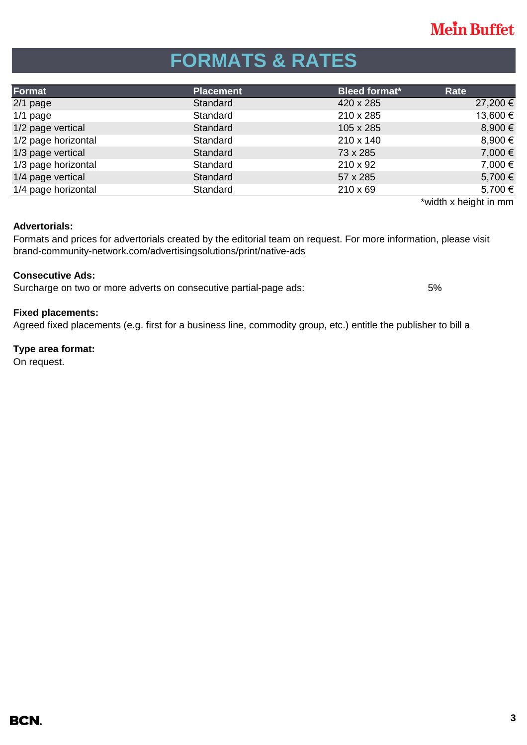# **FORMATS & RATES**

| Format              | <b>Placement</b> | <b>Bleed format*</b> | Rate     |
|---------------------|------------------|----------------------|----------|
| $2/1$ page          | Standard         | 420 x 285            | 27,200 € |
| $1/1$ page          | Standard         | 210 x 285            | 13,600 € |
| 1/2 page vertical   | Standard         | 105 x 285            | 8,900 €  |
| 1/2 page horizontal | Standard         | 210 x 140            | 8,900 €  |
| 1/3 page vertical   | Standard         | 73 x 285             | 7,000 €  |
| 1/3 page horizontal | Standard         | $210 \times 92$      | 7,000 €  |
| 1/4 page vertical   | Standard         | 57 x 285             | 5,700 €  |
| 1/4 page horizontal | Standard         | $210 \times 69$      | 5,700 €  |

\*width x height in mm

## **Advertorials:**

[brand-community-network.com/advertisin](https://bcn.burda.com/advertisingsolutions/print/native-ads)gsolutions/print/native-ads Formats and prices for advertorials created by the editorial team on request. For more information, please visit

## **Consecutive Ads:**

Surcharge on two or more adverts on consecutive partial-page ads: 5%

## **Fixed placements:**

Agreed fixed placements (e.g. first for a business line, commodity group, etc.) entitle the publisher to bill a

## **Type area format:**

On request.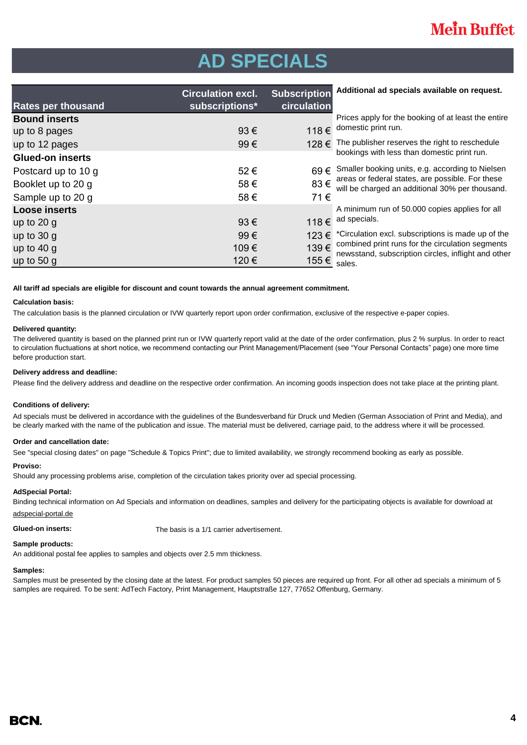# **AD SPECIALS**

|                           | <b>Circulation excl.</b> | <b>Subscription</b> | Additional ad specials available on request.                                                                                                            |  |
|---------------------------|--------------------------|---------------------|---------------------------------------------------------------------------------------------------------------------------------------------------------|--|
| <b>Rates per thousand</b> | subscriptions*           | circulation         |                                                                                                                                                         |  |
| <b>Bound inserts</b>      |                          |                     | Prices apply for the booking of at least the entire                                                                                                     |  |
| up to 8 pages             | 93€                      | 118€                | domestic print run.                                                                                                                                     |  |
| up to 12 pages            | 99€                      | 128 €               | The publisher reserves the right to reschedule                                                                                                          |  |
| <b>Glued-on inserts</b>   |                          |                     | bookings with less than domestic print run.                                                                                                             |  |
| Postcard up to 10 g       | 52€                      | $69 \in$            | Smaller booking units, e.g. according to Nielsen<br>areas or federal states, are possible. For these<br>will be charged an additional 30% per thousand. |  |
| Booklet up to 20 g        | 58€                      | 83€                 |                                                                                                                                                         |  |
| Sample up to 20 g         | 58€                      | 71€                 |                                                                                                                                                         |  |
| <b>Loose inserts</b>      |                          |                     | A minimum run of 50.000 copies applies for all                                                                                                          |  |
| up to $20$ g              | 93€                      | 118€                | ad specials.                                                                                                                                            |  |
| up to $30 g$              | 99€                      | 123€                | *Circulation excl. subscriptions is made up of the                                                                                                      |  |
| up to $40 g$              | 109€                     | 139€                | combined print runs for the circulation segments<br>newsstand, subscription circles, inflight and other<br>sales.                                       |  |
| up to 50 $g$              | 120€                     | 155 €               |                                                                                                                                                         |  |

### **All tariff ad specials are eligible for discount and count towards the annual agreement commitment.**

### **Calculation basis:**

The calculation basis is the planned circulation or IVW quarterly report upon order confirmation, exclusive of the respective e-paper copies.

### **Delivered quantity:**

The delivered quantity is based on the planned print run or IVW quarterly report valid at the date of the order confirmation, plus 2 % surplus. In order to react to circulation fluctuations at short notice, we recommend contacting our Print Management/Placement (see "Your Personal Contacts" page) one more time before production start.

### **Delivery address and deadline:**

Please find the delivery address and deadline on the respective order confirmation. An incoming goods inspection does not take place at the printing plant.

### **Conditions of delivery:**

Ad specials must be delivered in accordance with the guidelines of the Bundesverband für Druck und Medien (German Association of Print and Media), and be clearly marked with the name of the publication and issue. The material must be delivered, carriage paid, to the address where it will be processed.

### **Order and cancellation date:**

See "special closing dates" on page "Schedule & Topics Print"; due to limited availability, we strongly recommend booking as early as possible.

### **Proviso:**

Should any processing problems arise, completion of the circulation takes priority over ad special processing.

### **AdSpecial Portal:**

Binding technical information on Ad Specials and information on deadlines, samples and delivery for the participating objects is available for download at adspecial-portal.de

**Glued-on inserts:** The basis is a 1/1 carrier advertisement.

### **Sample products:**

An additional postal fee applies to samples and objects over 2.5 mm thickness.

### **Samples:**

Samples must be presented by the closing date at the latest. For product samples 50 pieces are required up front. For all other ad specials a minimum of 5 samples are required. To be sent: AdTech Factory, Print Management, Hauptstraße 127, 77652 Offenburg, Germany.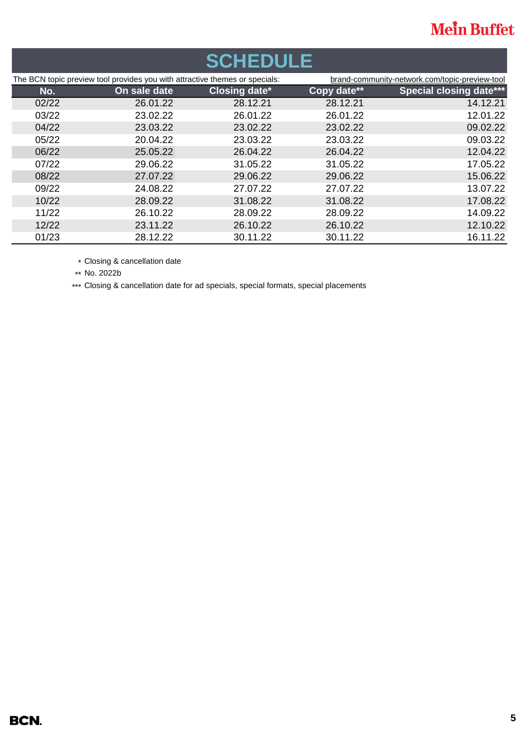| <b>SCHEDULE</b>                                                             |              |                      |                                                |                                |  |  |  |
|-----------------------------------------------------------------------------|--------------|----------------------|------------------------------------------------|--------------------------------|--|--|--|
| The BCN topic preview tool provides you with attractive themes or specials: |              |                      | brand-community-network.com/topic-preview-tool |                                |  |  |  |
| No.                                                                         | On sale date | <b>Closing date*</b> | Copy date**                                    | <b>Special closing date***</b> |  |  |  |
| 02/22                                                                       | 26.01.22     | 28.12.21             | 28.12.21                                       | 14.12.21                       |  |  |  |
| 03/22                                                                       | 23.02.22     | 26.01.22             | 26.01.22                                       | 12.01.22                       |  |  |  |
| 04/22                                                                       | 23.03.22     | 23.02.22             | 23.02.22                                       | 09.02.22                       |  |  |  |
| 05/22                                                                       | 20.04.22     | 23.03.22             | 23.03.22                                       | 09.03.22                       |  |  |  |
| 06/22                                                                       | 25.05.22     | 26.04.22             | 26.04.22                                       | 12.04.22                       |  |  |  |
| 07/22                                                                       | 29.06.22     | 31.05.22             | 31.05.22                                       | 17.05.22                       |  |  |  |
| 08/22                                                                       | 27.07.22     | 29.06.22             | 29.06.22                                       | 15.06.22                       |  |  |  |
| 09/22                                                                       | 24.08.22     | 27.07.22             | 27.07.22                                       | 13.07.22                       |  |  |  |
| 10/22                                                                       | 28.09.22     | 31.08.22             | 31.08.22                                       | 17.08.22                       |  |  |  |
| 11/22                                                                       | 26.10.22     | 28.09.22             | 28.09.22                                       | 14.09.22                       |  |  |  |
| 12/22                                                                       | 23.11.22     | 26.10.22             | 26.10.22                                       | 12.10.22                       |  |  |  |
| 01/23                                                                       | 28.12.22     | 30.11.22             | 30.11.22                                       | 16.11.22                       |  |  |  |

\* Closing & cancellation date

\*\* No. 2022b

\*\*\* Closing & cancellation date for ad specials, special formats, special placements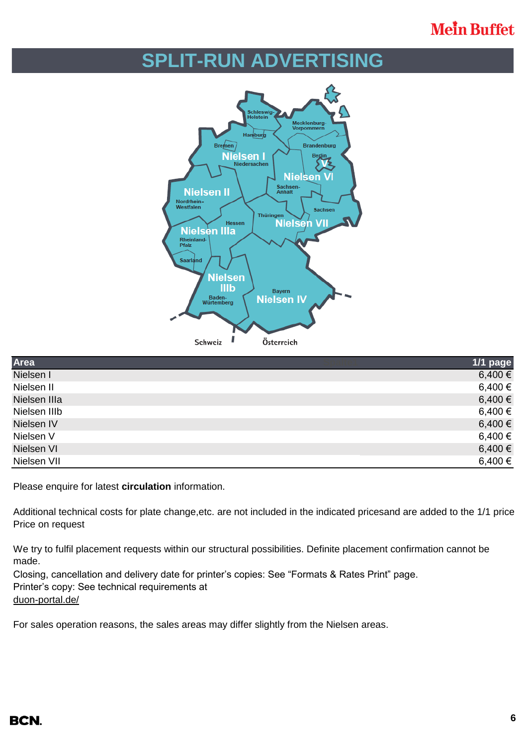# **SPLIT-RUN ADVERTISING**



| Area         | 1/1 page |
|--------------|----------|
| Nielsen I    | 6,400 €  |
| Nielsen II   | 6,400 €  |
| Nielsen IIIa | 6,400 €  |
| Nielsen IIIb | 6,400 €  |
| Nielsen IV   | 6,400 €  |
| Nielsen V    | 6,400 €  |
| Nielsen VI   | 6,400 €  |
| Nielsen VII  | 6,400 €  |

Please enquire for latest **circulation** information.

Additional technical costs for plate change, etc. are not included in the indicated prices and are added to the 1/1 price. Price on request

We try to fulfil placement requests within our structural possibilities. Definite placement confirmation cannot be made.

Closing, cancellation and delivery date for printer's copies: See "Formats & Rates Print" page. Printer's copy: See technical requirements at [duon-portal.de/](https://duon-portal.de/)

For sales operation reasons, the sales areas may differ slightly from the Nielsen areas.